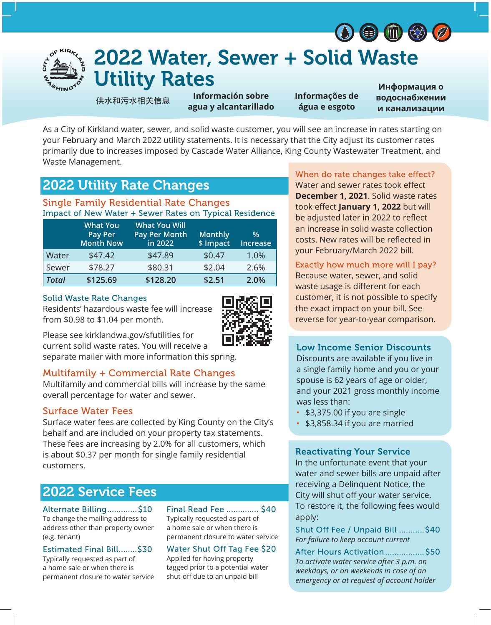



# 2022 Water, Sewer + Solid Waste Utility Rates

供水和污水相关信息

**Información sobre agua y alcantarillado** **Informações de água e esgoto**

**Информация о водоснабжении и канализации**

As a City of Kirkland water, sewer, and solid waste customer, you will see an increase in rates starting on your February and March 2022 utility statements. It is necessary that the City adjust its customer rates primarily due to increases imposed by Cascade Water Alliance, King County Wastewater Treatment, and Waste Management.

# 2022 Utility Rate Changes

### Single Family Residential Rate Changes Impact of New Water + Sewer Rates on Typical Residence

|              | <b>What You</b><br>Pay Per<br><b>Month Now</b> | <b>What You Will</b><br><b>Pay Per Month</b><br>in 2022 | <b>Monthly</b><br>\$ Impact | $\%$<br><b>Increase</b> |
|--------------|------------------------------------------------|---------------------------------------------------------|-----------------------------|-------------------------|
| Water        | \$47.42                                        | \$47.89                                                 | \$0.47                      | 1.0%                    |
| Sewer        | \$78.27                                        | \$80.31                                                 | \$2.04                      | 2.6%                    |
| <b>Total</b> | \$125.69                                       | \$128.20                                                | \$2.51                      | 2.0%                    |

#### Solid Waste Rate Changes

Residents' hazardous waste fee will increase from \$0.98 to \$1.04 per month.



Please see kirklandwa.gov/sfutilities for

current solid waste rates. You will receive a separate mailer with more information this spring.

### Multifamily + Commercial Rate Changes

Multifamily and commercial bills will increase by the same overall percentage for water and sewer.

### Surface Water Fees

Surface water fees are collected by King County on the City's behalf and are included on your property tax statements. These fees are increasing by 2.0% for all customers, which is about \$0.37 per month for single family residential customers.

# 2022 Service Fees

Alternate Billing............. \$10 To change the mailing address to address other than property owner (e.g. tenant)

Estimated Final Bill........\$30

Typically requested as part of a home sale or when there is permanent closure to water service Final Read Fee .............. \$40 Typically requested as part of a home sale or when there is permanent closure to water service

## Water Shut Off Tag Fee \$20

Applied for having property tagged prior to a potential water shut-off due to an unpaid bill

### When do rate changes take effect?

Water and sewer rates took effect **December 1, 2021**. Solid waste rates took effect **January 1, 2022** but will be adjusted later in 2022 to reflect an increase in solid waste collection costs. New rates will be reflected in your February/March 2022 bill.

### Exactly how much more will I pay?

Because water, sewer, and solid waste usage is different for each customer, it is not possible to specify the exact impact on your bill. See reverse for year-to-year comparison.

### Low Income Senior Discounts

Discounts are available if you live in a single family home and you or your spouse is 62 years of age or older, and your 2021 gross monthly income was less than:

- \$3,375.00 if you are single
- \$3,858.34 if you are married

### Reactivating Your Service

In the unfortunate event that your water and sewer bills are unpaid after receiving a Delinquent Notice, the City will shut off your water service. To restore it, the following fees would apply:

Shut Off Fee / Unpaid Bill ........... \$40 *For failure to keep account current*

After Hours Activation................. \$50 *To activate water service after 3 p.m. on weekdays, or on weekends in case of an emergency or at request of account holder*